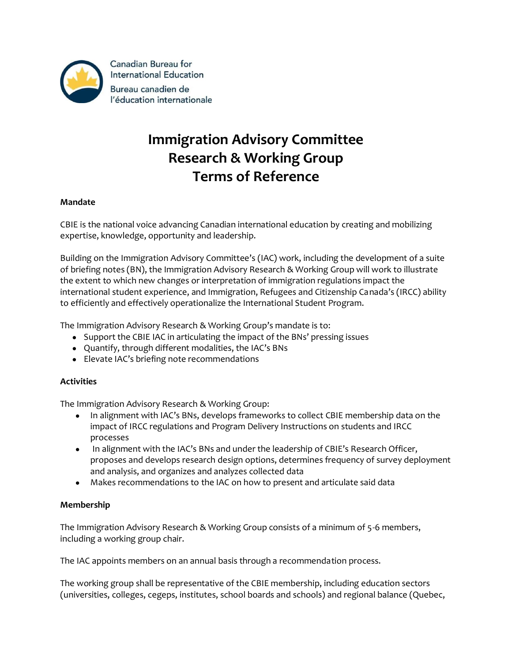

Canadian Bureau for **International Education** Bureau canadien de l'éducation internationale

# **Immigration Advisory Committee Research & Working Group Terms of Reference**

# **Mandate**

CBIE is the national voice advancing Canadian international education by creating and mobilizing expertise, knowledge, opportunity and leadership.

Building on the Immigration Advisory Committee's (IAC) work, including the development of a suite of briefing notes (BN), the Immigration Advisory Research & Working Group will work to illustrate the extent to which new changes or interpretation of immigration regulations impact the international student experience, and Immigration, Refugees and Citizenship Canada's (IRCC) ability to efficiently and effectively operationalize the International Student Program.

The Immigration Advisory Research & Working Group's mandate is to:

- Support the CBIE IAC in articulating the impact of the BNs' pressing issues
- Quantify, through different modalities, the IAC's BNs
- Elevate IAC's briefing note recommendations

# **Activities**

The Immigration Advisory Research & Working Group:

- In alignment with IAC's BNs, develops frameworks to collect CBIE membership data on the impact of IRCC regulations and Program Delivery Instructions on students and IRCC processes
- In alignment with the IAC's BNs and under the leadership of CBIE's Research Officer, proposes and develops research design options, determines frequency of survey deployment and analysis, and organizes and analyzes collected data
- Makes recommendations to the IAC on how to present and articulate said data

# **Membership**

The Immigration Advisory Research & Working Group consists of a minimum of 5-6 members, including a working group chair.

The IAC appoints members on an annual basis through a recommendation process.

The working group shall be representative of the CBIE membership, including education sectors (universities, colleges, cegeps, institutes, school boards and schools) and regional balance (Quebec,